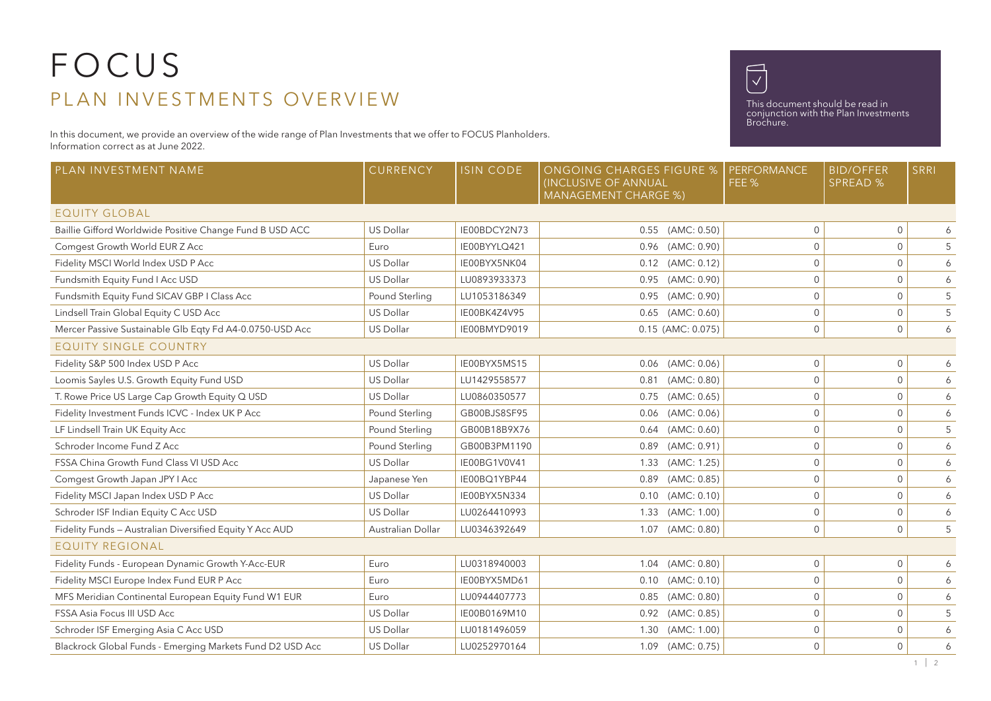## FOCUS PLAN INVESTMENTS OVERVIEW

In this document, we provide an overview of the wide range of Plan Investments that we offer to FOCUS Planholders. Information correct as at June 2022.



This document should be read in conjunction with the Plan Investments Brochure.

| PLAN INVESTMENT NAME                                      | CURRENCY          | <b>ISIN CODE</b> | <b>ONGOING CHARGES FIGURE %</b><br>(INCLUSIVE OF ANNUAL<br><b>MANAGEMENT CHARGE %)</b> | <b>PERFORMANCE</b><br>FEE % | <b>BID/OFFER</b><br><b>SPREAD %</b> | <b>SRRI</b>      |  |  |  |  |
|-----------------------------------------------------------|-------------------|------------------|----------------------------------------------------------------------------------------|-----------------------------|-------------------------------------|------------------|--|--|--|--|
| <b>EQUITY GLOBAL</b>                                      |                   |                  |                                                                                        |                             |                                     |                  |  |  |  |  |
| Baillie Gifford Worldwide Positive Change Fund B USD ACC  | <b>US Dollar</b>  | IE00BDCY2N73     | 0.55 (AMC: 0.50)                                                                       | $\mathbf{0}$                | $\mathbf{0}$                        | 6                |  |  |  |  |
| Comgest Growth World EUR Z Acc                            | Euro              | IE00BYYLQ421     | 0.96 (AMC: 0.90)                                                                       | $\mathbf 0$                 | $\mathbf{0}$                        | $5\phantom{.0}$  |  |  |  |  |
| Fidelity MSCI World Index USD P Acc                       | <b>US Dollar</b>  | IE00BYX5NK04     | 0.12 (AMC: 0.12)                                                                       | $\mathbf{0}$                | $\mathbf{0}$                        | 6                |  |  |  |  |
| Fundsmith Equity Fund I Acc USD                           | <b>US Dollar</b>  | LU0893933373     | 0.95 (AMC: 0.90)                                                                       | $\mathbf{0}$                | $\mathbf{0}$                        | 6                |  |  |  |  |
| Fundsmith Equity Fund SICAV GBP I Class Acc               | Pound Sterling    | LU1053186349     | 0.95 (AMC: 0.90)                                                                       | $\mathbf{0}$                | $\mathbf 0$                         | $5\,$            |  |  |  |  |
| Lindsell Train Global Equity C USD Acc                    | US Dollar         | IE00BK4Z4V95     | $0.65$ (AMC: $0.60$ )                                                                  | $\mathbf{0}$                | $\mathbf 0$                         | $\overline{5}$   |  |  |  |  |
| Mercer Passive Sustainable Glb Eqty Fd A4-0.0750-USD Acc  | <b>US Dollar</b>  | IE00BMYD9019     | $0.15$ (AMC: $0.075$ )                                                                 | $\mathbf{0}$                | $\mathbf{0}$                        | 6                |  |  |  |  |
| <b>EQUITY SINGLE COUNTRY</b>                              |                   |                  |                                                                                        |                             |                                     |                  |  |  |  |  |
| Fidelity S&P 500 Index USD P Acc                          | <b>US Dollar</b>  | IE00BYX5MS15     | 0.06 (AMC: 0.06)                                                                       | $\mathsf{O}\xspace$         | $\mathbf 0$                         | 6                |  |  |  |  |
| Loomis Sayles U.S. Growth Equity Fund USD                 | <b>US Dollar</b>  | LU1429558577     | (AMC: 0.80)<br>0.81                                                                    | $\mathbf{0}$                | $\mathbf{0}$                        | $\epsilon$       |  |  |  |  |
| T. Rowe Price US Large Cap Growth Equity Q USD            | <b>US Dollar</b>  | LU0860350577     | (AMC: 0.65)<br>0.75                                                                    | $\Omega$                    | $\mathbf{0}$                        | 6                |  |  |  |  |
| Fidelity Investment Funds ICVC - Index UK P Acc           | Pound Sterling    | GB00BJS8SF95     | (AMC: 0.06)<br>0.06                                                                    | $\mathbf{0}$                | $\mathbf 0$                         | $\boldsymbol{6}$ |  |  |  |  |
| LF Lindsell Train UK Equity Acc                           | Pound Sterling    | GB00B18B9X76     | $0.64$ (AMC: $0.60$ )                                                                  | $\Omega$                    | $\mathbf{0}$                        | 5                |  |  |  |  |
| Schroder Income Fund Z Acc.                               | Pound Sterling    | GB00B3PM1190     | (AMC: 0.91)<br>0.89                                                                    | $\Omega$                    | $\mathbf{0}$                        | 6                |  |  |  |  |
| FSSA China Growth Fund Class VI USD Acc                   | US Dollar         | IE00BG1V0V41     | (AMC: 1.25)<br>1.33                                                                    | $\mathbf 0$                 | $\mathbf 0$                         | $\boldsymbol{6}$ |  |  |  |  |
| Comgest Growth Japan JPY I Acc                            | Japanese Yen      | IE00BQ1YBP44     | (AMC: 0.85)<br>0.89                                                                    | $\mathbf{0}$                | $\mathbf{0}$                        | 6                |  |  |  |  |
| Fidelity MSCI Japan Index USD P Acc                       | <b>US Dollar</b>  | IE00BYX5N334     | $0.10$ (AMC: $0.10$ )                                                                  | $\mathbf{0}$                | $\mathbf{0}$                        | 6                |  |  |  |  |
| Schroder ISF Indian Equity C Acc USD                      | US Dollar         | LU0264410993     | (AMC: 1.00)<br>1.33                                                                    | $\mathbf{0}$                | $\mathbf 0$                         | 6                |  |  |  |  |
| Fidelity Funds - Australian Diversified Equity Y Acc AUD  | Australian Dollar | LU0346392649     | 1.07 (AMC: 0.80)                                                                       | $\mathbf{0}$                | $\mathbf{0}$                        | 5                |  |  |  |  |
| <b>EQUITY REGIONAL</b>                                    |                   |                  |                                                                                        |                             |                                     |                  |  |  |  |  |
| Fidelity Funds - European Dynamic Growth Y-Acc-EUR        | Euro              | LU0318940003     | 1.04 (AMC: 0.80)                                                                       | $\mathbf{0}$                | $\mathbf 0$                         | 6                |  |  |  |  |
| Fidelity MSCI Europe Index Fund EUR P Acc                 | Euro              | IE00BYX5MD61     | (AMC: 0.10)<br>0.10                                                                    | $\mathbf{0}$                | $\mathbf 0$                         | 6                |  |  |  |  |
| MFS Meridian Continental European Equity Fund W1 EUR      | Euro              | LU0944407773     | 0.85 (AMC: 0.80)                                                                       | $\mathbf{0}$                | $\mathbf 0$                         | 6                |  |  |  |  |
| FSSA Asia Focus III USD Acc                               | <b>US Dollar</b>  | IE00B0169M10     | 0.92 (AMC: 0.85)                                                                       | $\Omega$                    | $\mathbf{0}$                        | 5                |  |  |  |  |
| Schroder ISF Emerging Asia C Acc USD                      | US Dollar         | LU0181496059     | 1.30 (AMC: 1.00)                                                                       | $\mathbf{0}$                | $\mathbf 0$                         | 6                |  |  |  |  |
| Blackrock Global Funds - Emerging Markets Fund D2 USD Acc | US Dollar         | LU0252970164     | 1.09 (AMC: 0.75)                                                                       | $\mathbf{0}$                | $\mathbf{0}$                        | 6                |  |  |  |  |